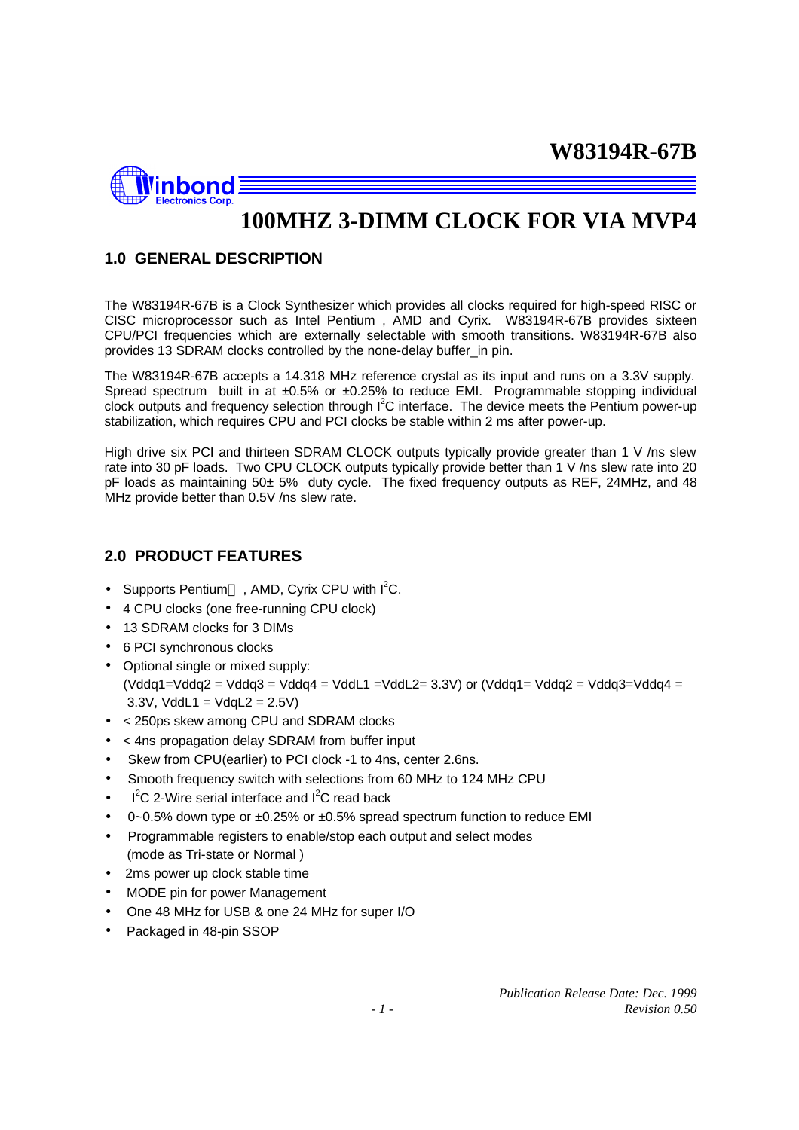

# **100MHZ 3-DIMM CLOCK FOR VIA MVP4**

# **1.0 GENERAL DESCRIPTION**

The W83194R-67B is a Clock Synthesizer which provides all clocks required for high-speed RISC or CISC microprocessor such as Intel Pentium , AMD and Cyrix. W83194R-67B provides sixteen CPU/PCI frequencies which are externally selectable with smooth transitions. W83194R-67B also provides 13 SDRAM clocks controlled by the none-delay buffer\_in pin.

The W83194R-67B accepts a 14.318 MHz reference crystal as its input and runs on a 3.3V supply. Spread spectrum built in at  $\pm 0.5\%$  or  $\pm 0.25\%$  to reduce EMI. Programmable stopping individual clock outputs and frequency selection through  $I<sup>2</sup>C$  interface. The device meets the Pentium power-up stabilization, which requires CPU and PCI clocks be stable within 2 ms after power-up.

High drive six PCI and thirteen SDRAM CLOCK outputs typically provide greater than 1 V /ns slew rate into 30 pF loads. Two CPU CLOCK outputs typically provide better than 1 V /ns slew rate into 20 pF loads as maintaining 50± 5% duty cycle. The fixed frequency outputs as REF, 24MHz, and 48 MHz provide better than 0.5V /ns slew rate.

## **2.0 PRODUCT FEATURES**

- Supports Pentium<sup>TM</sup>, AMD, Cyrix CPU with  $I^2C$ .
- 4 CPU clocks (one free-running CPU clock)
- 13 SDRAM clocks for 3 DIMs
- 6 PCI synchronous clocks
- Optional single or mixed supply: (Vddq1=Vddq2 = Vddq3 = Vddq4 = VddL1 =VddL2= 3.3V) or (Vddq1= Vddq2 = Vddq3=Vddq4 =  $3.3V$ , VddL1 = VdqL2 =  $2.5V$ )
- < 250ps skew among CPU and SDRAM clocks
- < 4ns propagation delay SDRAM from buffer input
- Skew from CPU(earlier) to PCI clock -1 to 4ns, center 2.6ns.
- Smooth frequency switch with selections from 60 MHz to 124 MHz CPU
- $I^2C$  2-Wire serial interface and  $I^2C$  read back
- 0~0.5% down type or  $\pm 0.25$ % or  $\pm 0.5$ % spread spectrum function to reduce EMI
- Programmable registers to enable/stop each output and select modes (mode as Tri-state or Normal )
- 2ms power up clock stable time
- MODE pin for power Management
- One 48 MHz for USB & one 24 MHz for super I/O
- Packaged in 48-pin SSOP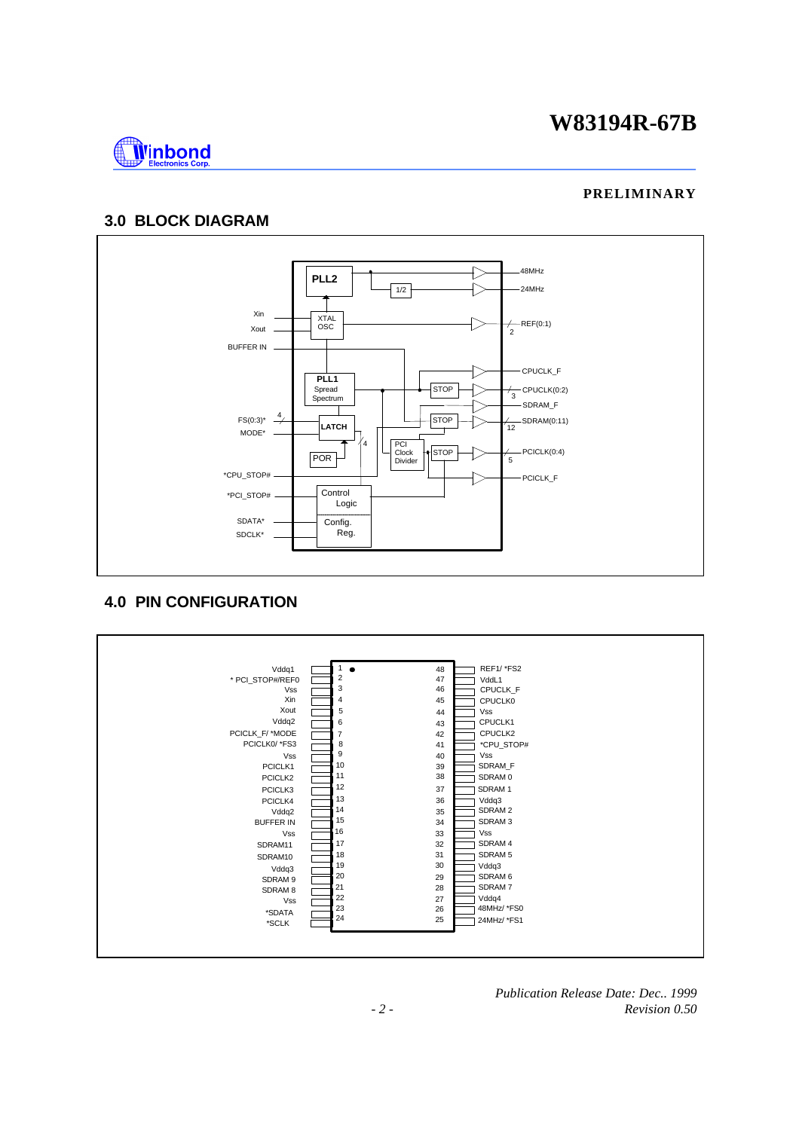

#### **PRELIMINARY**

# **3.0 BLOCK DIAGRAM**



### **4.0 PIN CONFIGURATION**



*Publication Release Date: Dec.. 1999 - 2 - Revision 0.50*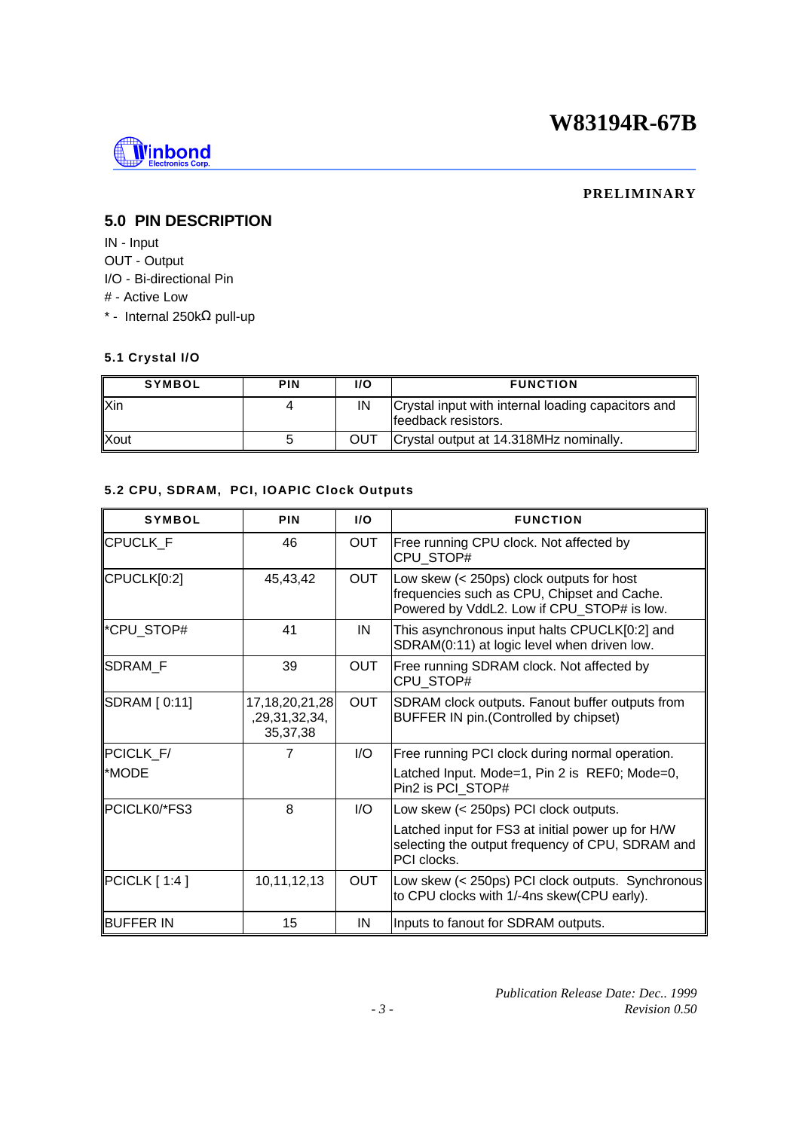

#### **PRELIMINARY**

# **5.0 PIN DESCRIPTION**

IN - Input OUT - Output I/O - Bi-directional Pin # - Active Low \* - Internal 250kΩ pull-up

### **5.1 Crystal I/O**

| <b>SYMBOL</b> | <b>PIN</b> | 1/O | <b>FUNCTION</b>                                                           |
|---------------|------------|-----|---------------------------------------------------------------------------|
| <b>Xin</b>    |            | IN  | Crystal input with internal loading capacitors and<br>feedback resistors. |
| <b>Xout</b>   |            | OUT | Crystal output at 14.318MHz nominally.                                    |

## **5.2 CPU, SDRAM, PCI, IOAPIC Clock Outputs**

| <b>SYMBOL</b>     | <b>PIN</b>                                        | I/O                     | <b>FUNCTION</b>                                                                                                                        |  |
|-------------------|---------------------------------------------------|-------------------------|----------------------------------------------------------------------------------------------------------------------------------------|--|
| <b>CPUCLK F</b>   | 46                                                | <b>OUT</b>              | Free running CPU clock. Not affected by<br>CPU STOP#                                                                                   |  |
| CPUCLK[0:2]       | 45,43,42                                          | <b>OUT</b>              | Low skew (< 250ps) clock outputs for host<br>frequencies such as CPU, Chipset and Cache.<br>Powered by VddL2. Low if CPU_STOP# is low. |  |
| *CPU STOP#        | 41                                                | IN                      | This asynchronous input halts CPUCLK[0:2] and<br>SDRAM(0:11) at logic level when driven low.                                           |  |
| SDRAM_F           | 39                                                | <b>OUT</b>              | Free running SDRAM clock. Not affected by<br>CPU_STOP#                                                                                 |  |
| SDRAM [ 0:11]     | 17, 18, 20, 21, 28<br>,29,31,32,34,<br>35, 37, 38 | <b>OUT</b>              | SDRAM clock outputs. Fanout buffer outputs from<br>BUFFER IN pin. (Controlled by chipset)                                              |  |
| PCICLK_F/         | 7                                                 | 1/O                     | Free running PCI clock during normal operation.                                                                                        |  |
| *MODE             |                                                   |                         | Latched Input. Mode=1, Pin 2 is REF0; Mode=0,<br>Pin2 is PCI STOP#                                                                     |  |
| PCICLK0/*FS3      | 8                                                 | $\mathsf{I}/\mathsf{O}$ | Low skew (< 250ps) PCI clock outputs.                                                                                                  |  |
|                   |                                                   |                         | Latched input for FS3 at initial power up for H/W<br>selecting the output frequency of CPU, SDRAM and<br>PCI clocks.                   |  |
| PCICLK[1:4]       | 10,11,12,13                                       | OUT                     | Low skew (< 250ps) PCI clock outputs. Synchronous<br>to CPU clocks with 1/-4ns skew(CPU early).                                        |  |
| <b>IBUFFER IN</b> | 15                                                | IN                      | Inputs to fanout for SDRAM outputs.                                                                                                    |  |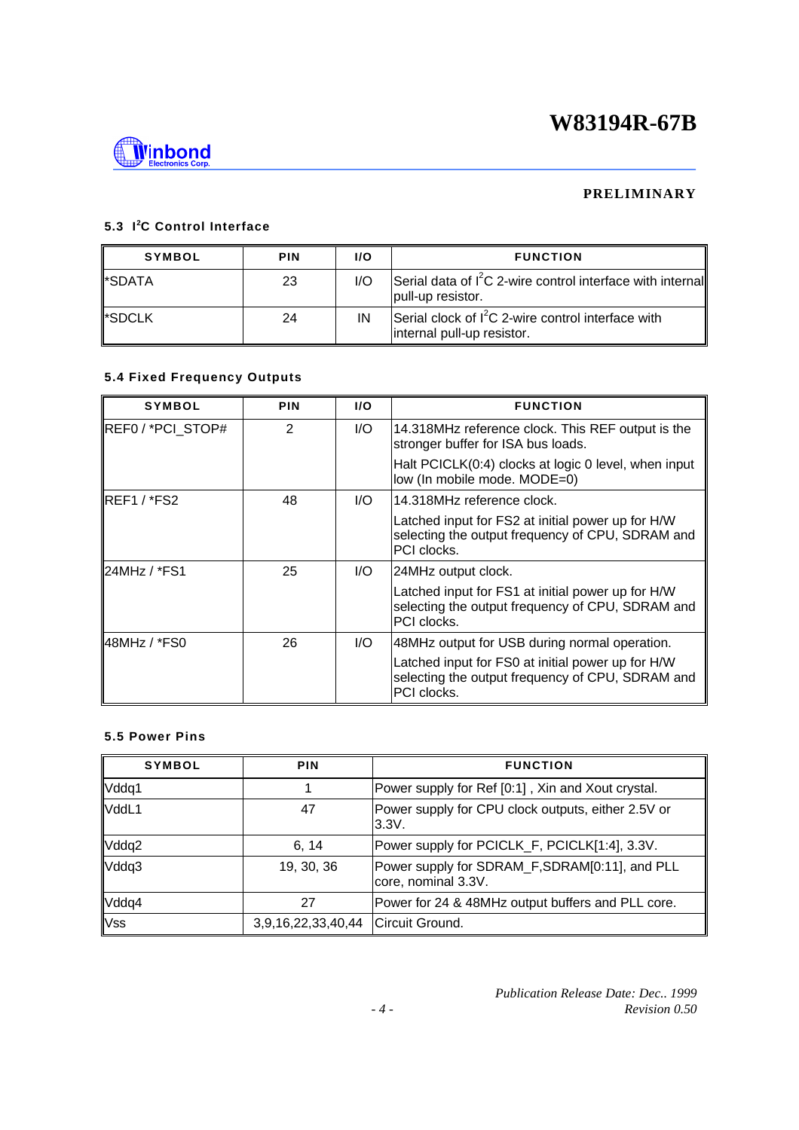

### **PRELIMINARY**

### **5.3 I<sup>2</sup>C Control Interface**

| <b>SYMBOL</b> | <b>PIN</b> | 1/O | <b>FUNCTION</b>                                                                    |
|---------------|------------|-----|------------------------------------------------------------------------------------|
| ll*SDATA      | 23         | 1/O | Serial data of $I^2C$ 2-wire control interface with internal<br>pull-up resistor.  |
| ll*SDCLK      | 24         | IN  | Serial clock of $I^2C$ 2-wire control interface with<br>internal pull-up resistor. |

## **5.4 Fixed Frequency Outputs**

| <b>SYMBOL</b>            | <b>PIN</b>    | I/O | <b>FUNCTION</b>                                                                                                             |  |
|--------------------------|---------------|-----|-----------------------------------------------------------------------------------------------------------------------------|--|
| REF0 / *PCI_STOP#        | $\mathcal{P}$ | I/O | 14.318MHz reference clock. This REF output is the<br>stronger buffer for ISA bus loads.                                     |  |
|                          |               |     | Halt PCICLK(0:4) clocks at logic 0 level, when input<br>low (In mobile mode. MODE=0)                                        |  |
| IREF1 / *FS2             | 48            | I/O | 14.318MHz reference clock.                                                                                                  |  |
|                          |               |     | Latched input for FS2 at initial power up for H/W<br>selecting the output frequency of CPU, SDRAM and<br><b>PCI</b> clocks. |  |
| $\parallel$ 24MHz / *FS1 | 25            | 1/O | 24MHz output clock.                                                                                                         |  |
|                          |               |     | Latched input for FS1 at initial power up for H/W<br>selecting the output frequency of CPU, SDRAM and<br>PCI clocks.        |  |
| 48MHz / *FS0             | 26            | 1/O | 48MHz output for USB during normal operation.                                                                               |  |
|                          |               |     | Latched input for FS0 at initial power up for H/W<br>selecting the output frequency of CPU, SDRAM and<br>PCI clocks.        |  |

#### **5.5 Power Pins**

| <b>SYMBOL</b> | <b>PIN</b>         | <b>FUNCTION</b>                                                       |  |  |
|---------------|--------------------|-----------------------------------------------------------------------|--|--|
| Vddq1         |                    | Power supply for Ref [0:1], Xin and Xout crystal.                     |  |  |
| VddL1         | 47                 | Power supply for CPU clock outputs, either 2.5V or<br>3.3V.           |  |  |
| Vddq2         | 6, 14              | Power supply for PCICLK_F, PCICLK[1:4], 3.3V.                         |  |  |
| Vddq3         | 19, 30, 36         | Power supply for SDRAM_F, SDRAM[0:11], and PLL<br>core, nominal 3.3V. |  |  |
| Vddq4         | 27                 | Power for 24 & 48MHz output buffers and PLL core.                     |  |  |
| <b>Vss</b>    | 3,9,16,22,33,40,44 | Circuit Ground.                                                       |  |  |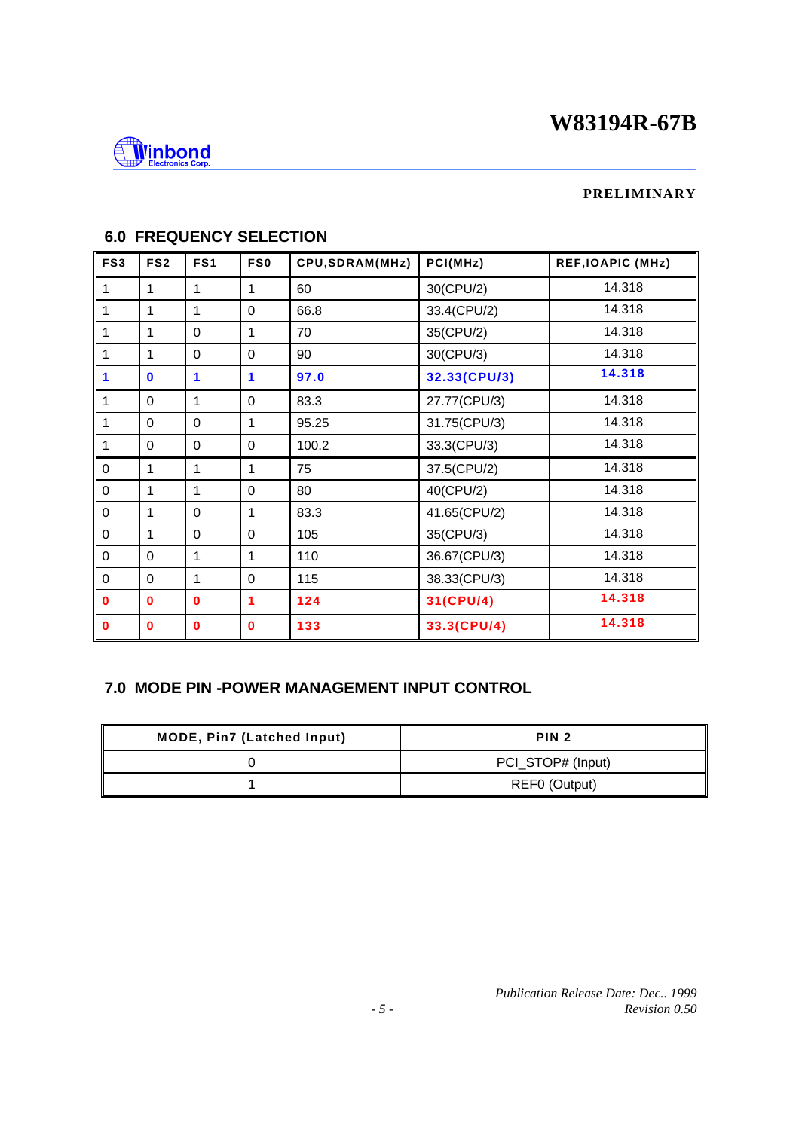

## **PRELIMINARY**

| FS <sub>3</sub> | FS <sub>2</sub> | FS <sub>1</sub> | FS0         | CPU, SDRAM(MHz) | PCI(MHz)     | <b>REF, IOAPIC (MHz)</b> |
|-----------------|-----------------|-----------------|-------------|-----------------|--------------|--------------------------|
| 1               | $\mathbf{1}$    | 1               | 1           | 60              | 30(CPU/2)    | 14.318                   |
| 1               | 1               | 1               | $\mathbf 0$ | 66.8            | 33.4(CPU/2)  | 14.318                   |
| 1               | $\mathbf{1}$    | $\Omega$        | 1           | 70              | 35(CPU/2)    | 14.318                   |
| 1               | $\mathbf{1}$    | $\Omega$        | $\Omega$    | 90              | 30(CPU/3)    | 14.318                   |
| 1               | $\mathbf{0}$    | 1               | 1           | 97.0            | 32.33(CPU/3) | 14.318                   |
| 1               | $\Omega$        | 1               | $\Omega$    | 83.3            | 27.77(CPU/3) | 14.318                   |
| 1               | $\Omega$        | $\Omega$        | 1           | 95.25           | 31.75(CPU/3) | 14.318                   |
| 1               | $\Omega$        | 0               | 0           | 100.2           | 33.3(CPU/3)  | 14.318                   |
| $\mathbf 0$     | $\mathbf{1}$    | $\mathbf{1}$    | 1           | 75              | 37.5(CPU/2)  | 14.318                   |
| $\Omega$        | $\mathbf{1}$    | 1               | $\Omega$    | 80              | 40(CPU/2)    | 14.318                   |
| 0               | 1               | $\Omega$        | 1           | 83.3            | 41.65(CPU/2) | 14.318                   |
| 0               | $\mathbf{1}$    | $\Omega$        | $\Omega$    | 105             | 35(CPU/3)    | 14.318                   |
| $\mathbf 0$     | $\Omega$        | 1               | 1           | 110             | 36.67(CPU/3) | 14.318                   |
| $\Omega$        | $\Omega$        | 1               | $\Omega$    | 115             | 38.33(CPU/3) | 14.318                   |
| 0               | $\mathbf{0}$    | $\mathbf{0}$    | 1           | 124             | 31(CPU/4)    | 14.318                   |
| $\bf{0}$        | $\mathbf 0$     | $\bf{0}$        | $\bf{0}$    | 133             | 33.3(CPU/4)  | 14.318                   |

# **6.0 FREQUENCY SELECTION**

## **7.0 MODE PIN -POWER MANAGEMENT INPUT CONTROL**

| <b>MODE, Pin7 (Latched Input)</b> | PIN <sub>2</sub>  |
|-----------------------------------|-------------------|
|                                   | PCI_STOP# (Input) |
|                                   | REF0 (Output)     |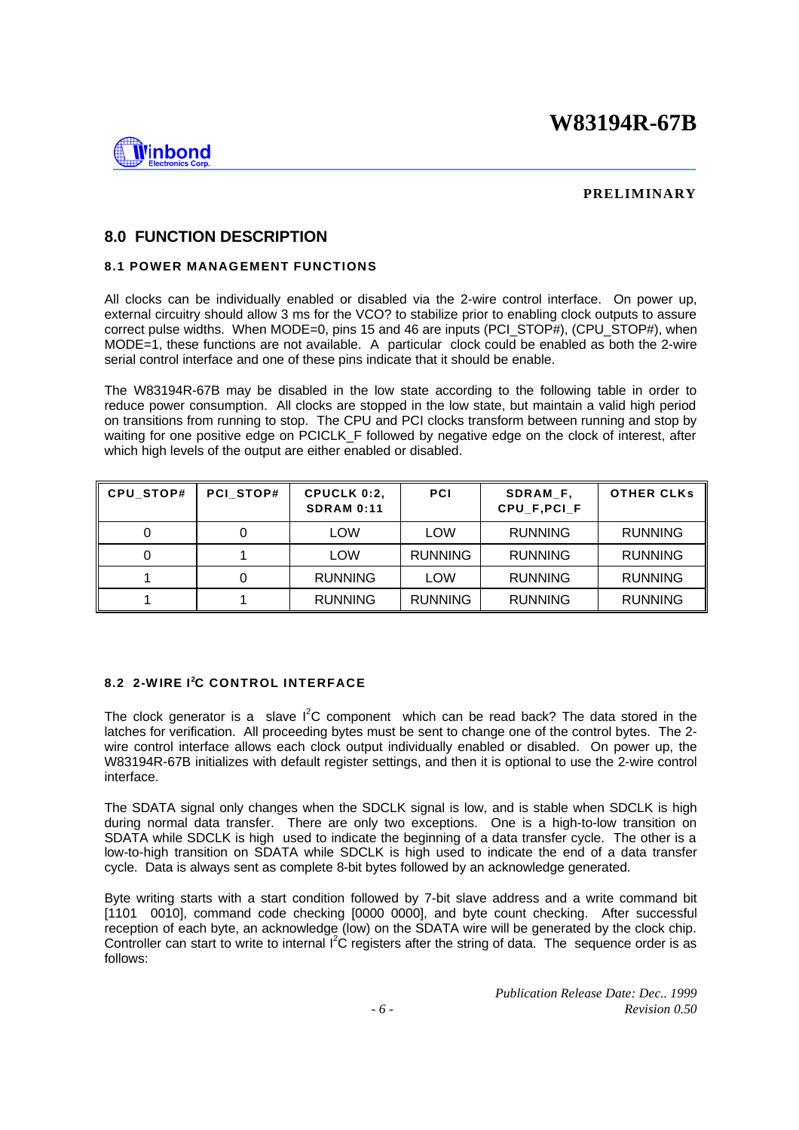

#### **PRELIMINARY**

### **8.0 FUNCTION DESCRIPTION**

#### **8.1 POWER MANAGEMENT FUNCTIONS**

All clocks can be individually enabled or disabled via the 2-wire control interface. On power up, external circuitry should allow 3 ms for the VCO? to stabilize prior to enabling clock outputs to assure correct pulse widths. When MODE=0, pins 15 and 46 are inputs (PCI\_STOP#), (CPU\_STOP#), when MODE=1, these functions are not available. A particular clock could be enabled as both the 2-wire serial control interface and one of these pins indicate that it should be enable.

The W83194R-67B may be disabled in the low state according to the following table in order to reduce power consumption. All clocks are stopped in the low state, but maintain a valid high period on transitions from running to stop. The CPU and PCI clocks transform between running and stop by waiting for one positive edge on PCICLK\_F followed by negative edge on the clock of interest, after which high levels of the output are either enabled or disabled.

| CPU_STOP# | PCI STOP# | CPUCLK 0:2,<br><b>SDRAM 0:11</b> | <b>PCI</b>     | SDRAM F.<br>CPU F.PCI F | <b>OTHER CLKS</b> |
|-----------|-----------|----------------------------------|----------------|-------------------------|-------------------|
|           |           | LOW                              | LOW            | <b>RUNNING</b>          | <b>RUNNING</b>    |
|           |           | LOW                              | <b>RUNNING</b> | <b>RUNNING</b>          | <b>RUNNING</b>    |
|           |           | <b>RUNNING</b>                   | LOW            | <b>RUNNING</b>          | <b>RUNNING</b>    |
|           |           | <b>RUNNING</b>                   | <b>RUNNING</b> | <b>RUNNING</b>          | <b>RUNNING</b>    |

## **8.2 2-W IRE I<sup>2</sup>C CONTROL INTERFACE**

The clock generator is a slave  $I^2C$  component which can be read back? The data stored in the latches for verification. All proceeding bytes must be sent to change one of the control bytes. The 2 wire control interface allows each clock output individually enabled or disabled. On power up, the W83194R-67B initializes with default register settings, and then it is optional to use the 2-wire control interface.

The SDATA signal only changes when the SDCLK signal is low, and is stable when SDCLK is high during normal data transfer. There are only two exceptions. One is a high-to-low transition on SDATA while SDCLK is high used to indicate the beginning of a data transfer cycle. The other is a low-to-high transition on SDATA while SDCLK is high used to indicate the end of a data transfer cycle. Data is always sent as complete 8-bit bytes followed by an acknowledge generated.

Byte writing starts with a start condition followed by 7-bit slave address and a write command bit [1101 0010], command code checking [0000 0000], and byte count checking. After successful reception of each byte, an acknowledge (low) on the SDATA wire will be generated by the clock chip. Controller can start to write to internal I<sup>2</sup>C registers after the string of data. The sequence order is as follows: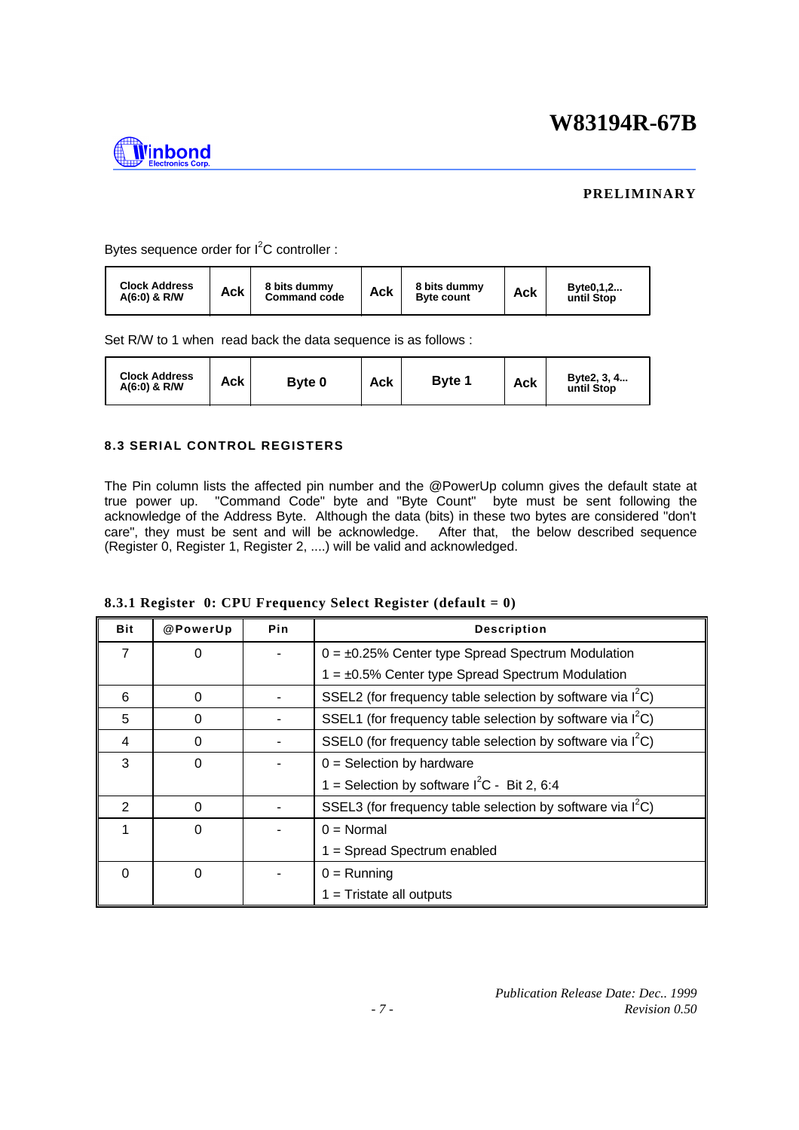

### **PRELIMINARY**

Bytes sequence order for  $I^2C$  controller :

| <b>Clock Address</b><br>8 bits dummy<br>Ack<br>$A(6:0)$ & R/W<br><b>Command code</b> | Ack | 8 bits dummy<br><b>Byte count</b> | Ack | Byte0,1,2<br>until Stop |
|--------------------------------------------------------------------------------------|-----|-----------------------------------|-----|-------------------------|
|--------------------------------------------------------------------------------------|-----|-----------------------------------|-----|-------------------------|

Set R/W to 1 when read back the data sequence is as follows :

| <b>Clock Address</b><br>$A(6:0)$ & R/W | Ack | Byte 0 | Ack | <b>Byte 1</b> | Ack | Byte2, 3, 4<br>until Stop |
|----------------------------------------|-----|--------|-----|---------------|-----|---------------------------|
|----------------------------------------|-----|--------|-----|---------------|-----|---------------------------|

#### **8.3 SERIAL CONTROL REGISTERS**

The Pin column lists the affected pin number and the @PowerUp column gives the default state at true power up. "Command Code" byte and "Byte Count" byte must be sent following the acknowledge of the Address Byte. Although the data (bits) in these two bytes are considered "don't care", they must be sent and will be acknowledge. After that, the below described sequence (Register 0, Register 1, Register 2, ....) will be valid and acknowledged.

| <b>Bit</b> | @PowerUp | Pin | <b>Description</b>                                            |  |
|------------|----------|-----|---------------------------------------------------------------|--|
| 7          | 0        |     | $0 = \pm 0.25\%$ Center type Spread Spectrum Modulation       |  |
|            |          |     | $1 = \pm 0.5\%$ Center type Spread Spectrum Modulation        |  |
| 6          | $\Omega$ |     | SSEL2 (for frequency table selection by software via $I^2C$ ) |  |
| 5          | $\Omega$ |     | SSEL1 (for frequency table selection by software via $I^2C$ ) |  |
| 4          | $\Omega$ |     | SSEL0 (for frequency table selection by software via $I^2C$ ) |  |
| 3          | $\Omega$ |     | $0 =$ Selection by hardware                                   |  |
|            |          |     | 1 = Selection by software $I^2C - Bit 2$ , 6:4                |  |
| 2          | $\Omega$ |     | SSEL3 (for frequency table selection by software via $I^2C$ ) |  |
| 1          | 0        |     | $0 = \text{Normal}$                                           |  |
|            |          |     | 1 = Spread Spectrum enabled                                   |  |
| $\Omega$   | $\Omega$ |     | $0 =$ Running                                                 |  |
|            |          |     | $1 =$ Tristate all outputs                                    |  |

| 8.3.1 Register $0$ : CPU Frequency Select Register (default = 0) |  |  |
|------------------------------------------------------------------|--|--|
|                                                                  |  |  |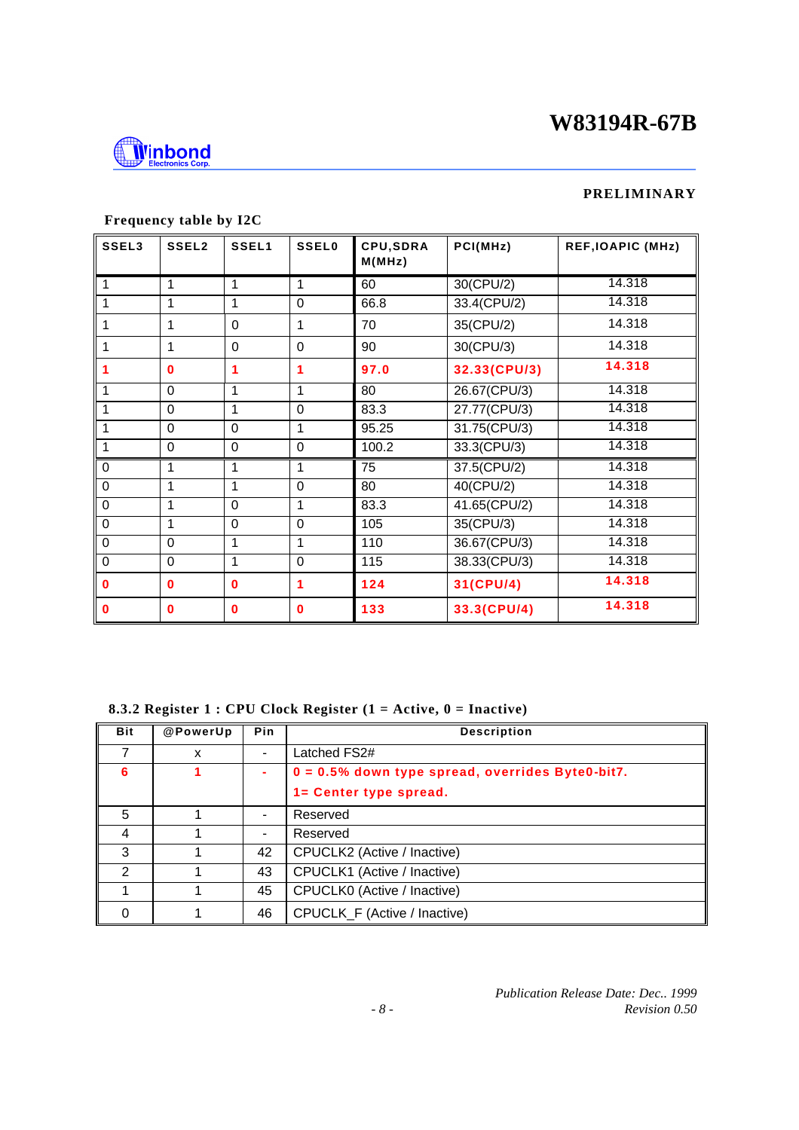

### **PRELIMINARY**

| SSEL3       | SSEL2       | SSEL1       | <b>SSEL0</b> | CPU, SDRA<br>M(MHz) | PCI(MHz)     | <b>REF, IOAPIC (MHz)</b> |
|-------------|-------------|-------------|--------------|---------------------|--------------|--------------------------|
| 1           | 1           | 1           | 1            | 60                  | $30$ (CPU/2) | 14.318                   |
|             | 1           | 1           | $\Omega$     | 66.8                | 33.4(CPU/2)  | 14.318                   |
| 1           | 1           | $\Omega$    | 1            | 70                  | 35(CPU/2)    | 14.318                   |
| 1           | 1           | $\Omega$    | $\Omega$     | 90                  | 30(CPU/3)    | 14.318                   |
| 1           | $\bf{0}$    | 1           | 1            | 97.0                | 32.33(CPU/3) | 14.318                   |
| 1           | $\Omega$    | 1           | 1            | 80                  | 26.67(CPU/3) | 14.318                   |
|             | $\Omega$    | 1           | $\Omega$     | 83.3                | 27.77(CPU/3) | 14.318                   |
| 1           | $\Omega$    | $\Omega$    | 1            | 95.25               | 31.75(CPU/3) | 14.318                   |
| 1           | $\mathbf 0$ | $\mathbf 0$ | 0            | 100.2               | 33.3(CPU/3)  | 14.318                   |
| $\mathbf 0$ | 1           | 1           | 1            | 75                  | 37.5(CPU/2)  | 14.318                   |
| $\mathbf 0$ | 1           | 1           | $\mathbf 0$  | 80                  | 40(CPU/2)    | 14.318                   |
| $\mathbf 0$ | 1           | $\mathbf 0$ | 1            | 83.3                | 41.65(CPU/2) | 14.318                   |
| $\mathbf 0$ | 1           | $\mathbf 0$ | $\mathbf 0$  | 105                 | 35(CPU/3)    | 14.318                   |
| $\mathbf 0$ | $\mathbf 0$ | 1           | 1            | 110                 | 36.67(CPU/3) | 14.318                   |
| $\mathbf 0$ | $\mathbf 0$ | 1           | $\mathbf 0$  | 115                 | 38.33(CPU/3) | 14.318                   |
| $\bf{0}$    | $\bf{0}$    | $\bf{0}$    | 1            | 124                 | 31(CPU/4)    | 14.318                   |
| $\mathbf 0$ | $\bf{0}$    | $\bf{0}$    | $\bf{0}$     | 133                 | 33.3(CPU/4)  | 14.318                   |

# **Frequency table by I2C**

 **8.3.2 Register 1 : CPU Clock Register (1 = Active, 0 = Inactive)**

| <b>Bit</b>    | @PowerUp | <b>Pin</b>               | <b>Description</b>                                 |
|---------------|----------|--------------------------|----------------------------------------------------|
|               | X        | $\overline{\phantom{a}}$ | Latched FS2#                                       |
| 6             |          | ۰                        | $0 = 0.5%$ down type spread, overrides Byte0-bit7. |
|               |          |                          | 1= Center type spread.                             |
| 5             |          | $\overline{\phantom{a}}$ | Reserved                                           |
| 4             |          | $\blacksquare$           | Reserved                                           |
| 3             |          | 42                       | CPUCLK2 (Active / Inactive)                        |
| $\mathcal{P}$ |          | 43                       | CPUCLK1 (Active / Inactive)                        |
|               |          | 45                       | CPUCLK0 (Active / Inactive)                        |
|               |          | 46                       | CPUCLK_F (Active / Inactive)                       |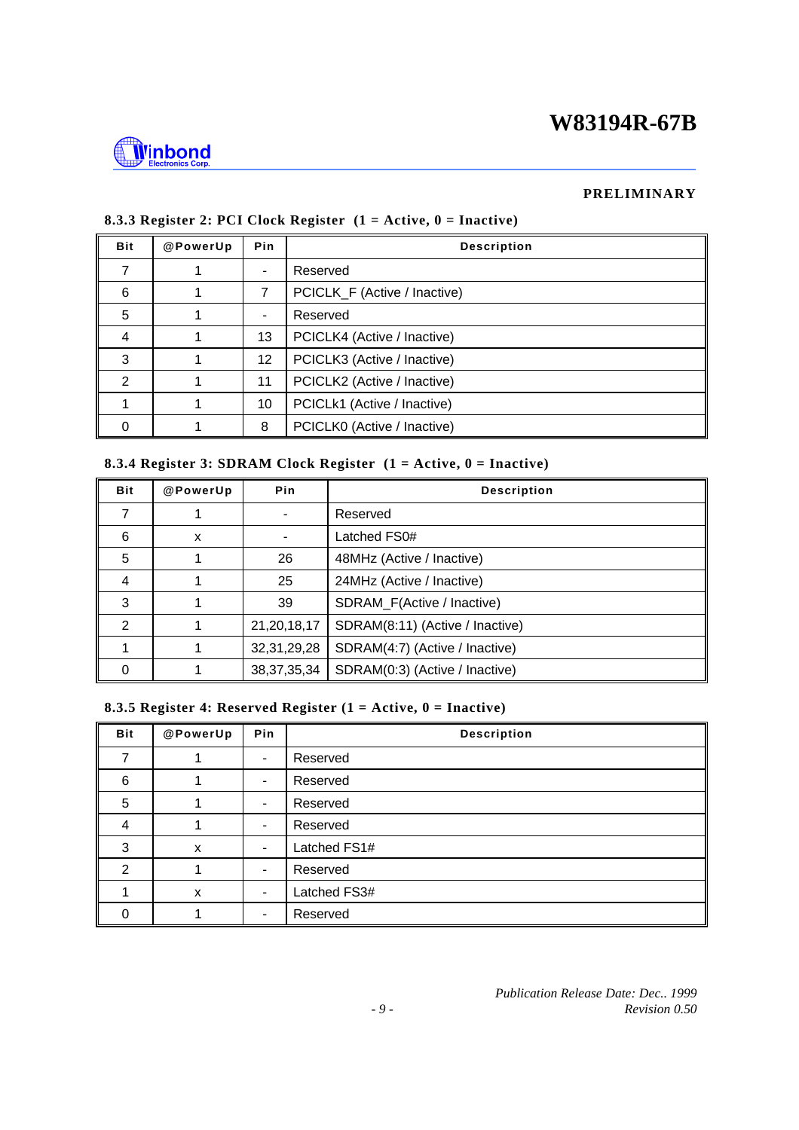

#### **PRELIMINARY**

| <b>Bit</b>    | @PowerUp | Pin                      | <b>Description</b>           |
|---------------|----------|--------------------------|------------------------------|
|               |          | ٠                        | Reserved                     |
| 6             |          | 7                        | PCICLK_F (Active / Inactive) |
| 5             |          | $\overline{\phantom{a}}$ | Reserved                     |
| 4             |          | 13                       | PCICLK4 (Active / Inactive)  |
| 3             |          | 12                       | PCICLK3 (Active / Inactive)  |
| $\mathcal{P}$ |          | 11                       | PCICLK2 (Active / Inactive)  |
|               |          | 10                       | PCICLk1 (Active / Inactive)  |
|               |          | 8                        | PCICLK0 (Active / Inactive)  |

#### **8.3.3 Register 2: PCI Clock Register (1 = Active, 0 = Inactive)**

#### **8.3.4 Register 3: SDRAM Clock Register (1 = Active, 0 = Inactive)**

| <b>Bit</b>     | @PowerUp | Pin            | <b>Description</b>              |  |  |  |
|----------------|----------|----------------|---------------------------------|--|--|--|
|                |          |                | Reserved                        |  |  |  |
| 6              | X        |                | Latched FS0#                    |  |  |  |
| 5              |          | 26             | 48MHz (Active / Inactive)       |  |  |  |
| 4              |          | 25             | 24MHz (Active / Inactive)       |  |  |  |
| 3              |          | 39             | SDRAM_F(Active / Inactive)      |  |  |  |
| $\mathfrak{p}$ |          | 21, 20, 18, 17 | SDRAM(8:11) (Active / Inactive) |  |  |  |
|                |          | 32, 31, 29, 28 | SDRAM(4:7) (Active / Inactive)  |  |  |  |
| O              |          | 38, 37, 35, 34 | SDRAM(0:3) (Active / Inactive)  |  |  |  |

#### **8.3.5 Register 4: Reserved Register (1 = Active, 0 = Inactive)**

| <b>Bit</b>     | @PowerUp | Pin                      | <b>Description</b> |  |  |  |  |  |
|----------------|----------|--------------------------|--------------------|--|--|--|--|--|
|                |          | $\blacksquare$           | Reserved           |  |  |  |  |  |
| 6              |          | $\blacksquare$           | Reserved           |  |  |  |  |  |
| 5              |          | $\blacksquare$           | Reserved           |  |  |  |  |  |
| 4              |          | $\overline{\phantom{a}}$ | Reserved           |  |  |  |  |  |
| 3              | X        | $\overline{\phantom{a}}$ | Latched FS1#       |  |  |  |  |  |
| $\overline{2}$ |          | $\overline{\phantom{a}}$ | Reserved           |  |  |  |  |  |
|                | X        | $\overline{\phantom{a}}$ | Latched FS3#       |  |  |  |  |  |
| U              |          | ٠                        | Reserved           |  |  |  |  |  |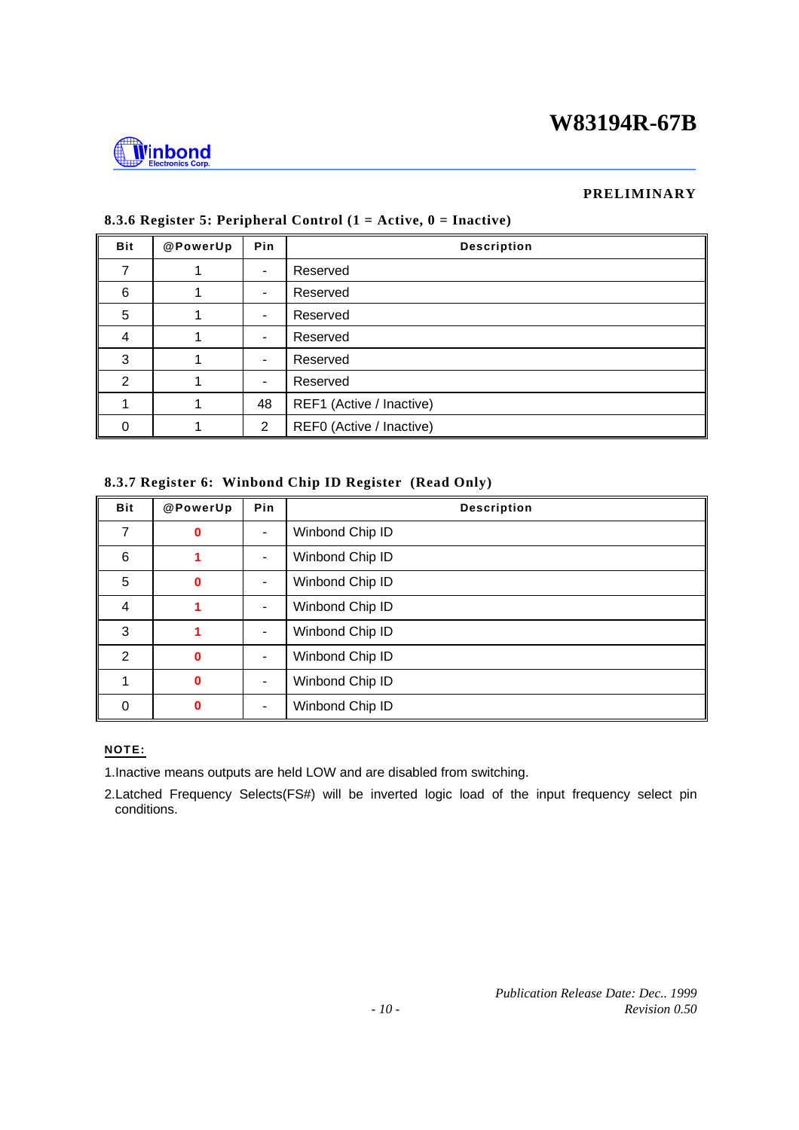

#### **PRELIMINARY**

| <b>Bit</b> | @PowerUp | Pin                      | <b>Description</b>       |
|------------|----------|--------------------------|--------------------------|
|            |          | $\overline{\phantom{a}}$ | Reserved                 |
| 6          |          | $\overline{\phantom{a}}$ | Reserved                 |
| 5          |          | $\blacksquare$           | Reserved                 |
| 4          |          | $\overline{\phantom{a}}$ | Reserved                 |
| 3          |          | $\overline{\phantom{a}}$ | Reserved                 |
| 2          |          | $\blacksquare$           | Reserved                 |
|            |          | 48                       | REF1 (Active / Inactive) |
| O          |          | 2                        | REF0 (Active / Inactive) |

#### **8.3.6 Register 5: Peripheral Control (1 = Active, 0 = Inactive)**

#### **8.3.7 Register 6: Winbond Chip ID Register (Read Only)**

| <b>Bit</b>     | @PowerUp     | Pin                          | <b>Description</b> |
|----------------|--------------|------------------------------|--------------------|
| 7              | 0            | $\blacksquare$               | Winbond Chip ID    |
| 6              | 1            | $\blacksquare$               | Winbond Chip ID    |
| 5              | $\bf{0}$     | $\qquad \qquad \blacksquare$ | Winbond Chip ID    |
| 4              | 1            | $\overline{\phantom{a}}$     | Winbond Chip ID    |
| 3              |              | $\blacksquare$               | Winbond Chip ID    |
| $\mathfrak{p}$ | $\bf{0}$     | $\overline{\phantom{0}}$     | Winbond Chip ID    |
|                | $\mathbf 0$  | $\qquad \qquad \blacksquare$ | Winbond Chip ID    |
| $\Omega$       | $\mathbf{0}$ | $\qquad \qquad \blacksquare$ | Winbond Chip ID    |

#### **NOTE:**

1.Inactive means outputs are held LOW and are disabled from switching.

2.Latched Frequency Selects(FS#) will be inverted logic load of the input frequency select pin conditions.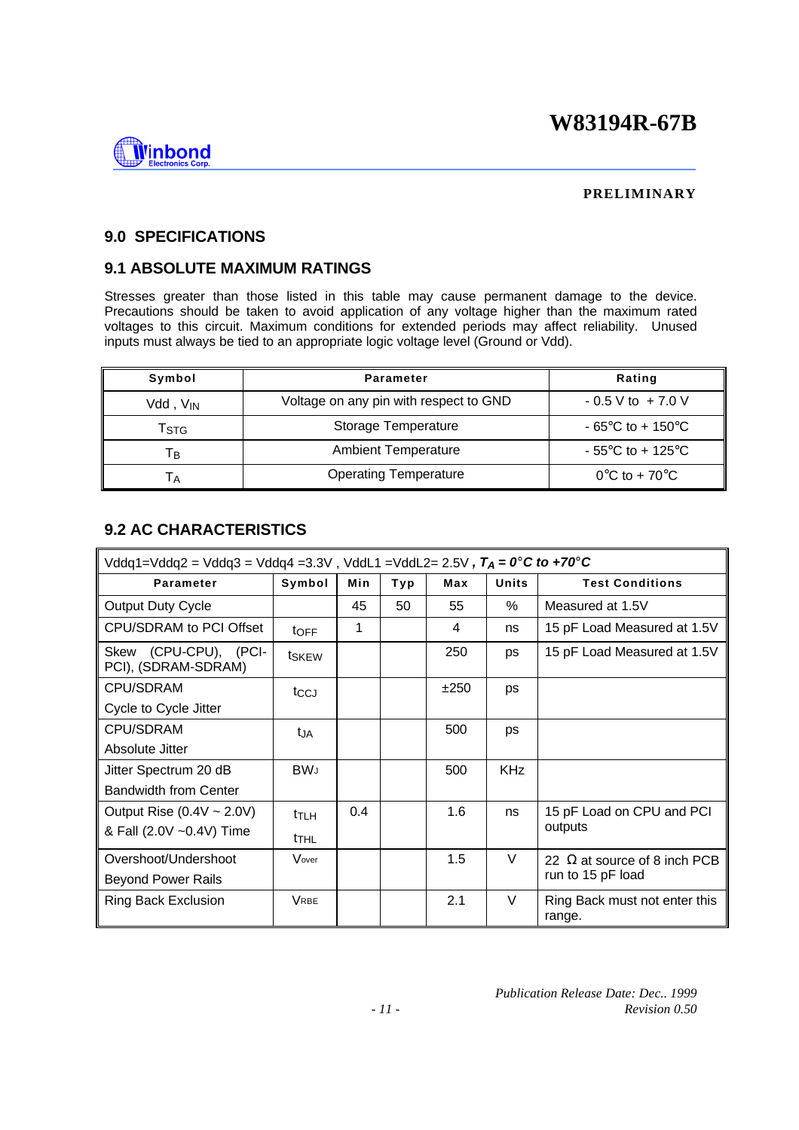

#### **PRELIMINARY**

### **9.0 SPECIFICATIONS**

## **9.1 ABSOLUTE MAXIMUM RATINGS**

Stresses greater than those listed in this table may cause permanent damage to the device. Precautions should be taken to avoid application of any voltage higher than the maximum rated voltages to this circuit. Maximum conditions for extended periods may affect reliability. Unused inputs must always be tied to an appropriate logic voltage level (Ground or Vdd).

| Symbol               | Parameter                              | Rating                                |
|----------------------|----------------------------------------|---------------------------------------|
| Vdd, V <sub>IN</sub> | Voltage on any pin with respect to GND | $-0.5$ V to $+7.0$ V                  |
| Tstg                 | Storage Temperature                    | $-65^{\circ}$ C to + 150 $^{\circ}$ C |
| Тв                   | <b>Ambient Temperature</b>             | $-55^{\circ}$ C to + 125 $^{\circ}$ C |
| ŤА                   | <b>Operating Temperature</b>           | $0^{\circ}$ C to + 70 $^{\circ}$ C    |

# **9.2 AC CHARACTERISTICS**

| $Vddq1 = Vddq2 = Vddq3 = Vddq4 = 3.3V$ , $VddL1 = VddL2 = 2.5V$ , $T_A = 0^\circ C$ to +70° C |                  |               |     |      |              |                                         |
|-----------------------------------------------------------------------------------------------|------------------|---------------|-----|------|--------------|-----------------------------------------|
| Parameter                                                                                     | Symbol           | Min           | Typ | Max  | <b>Units</b> | <b>Test Conditions</b>                  |
| Output Duty Cycle                                                                             |                  | 45            | 50  | 55   | %            | Measured at 1.5V                        |
| CPU/SDRAM to PCI Offset                                                                       | <b>t</b> OFF     | 1             |     | 4    | ns           | 15 pF Load Measured at 1.5V             |
| Skew (CPU-CPU), (PCI-<br>PCI), (SDRAM-SDRAM)                                                  | tskew            |               |     | 250  | <b>ps</b>    | 15 pF Load Measured at 1.5V             |
| <b>CPU/SDRAM</b>                                                                              | tccJ             |               |     | ±250 | ps           |                                         |
| Cycle to Cycle Jitter                                                                         |                  |               |     |      |              |                                         |
| <b>CPU/SDRAM</b>                                                                              | tја              |               |     | 500  | ps           |                                         |
| Absolute Jitter                                                                               |                  |               |     |      |              |                                         |
| Jitter Spectrum 20 dB                                                                         | <b>BWJ</b>       |               |     | 500  | <b>KHz</b>   |                                         |
| <b>Bandwidth from Center</b>                                                                  |                  |               |     |      |              |                                         |
| Output Rise $(0.4V \sim 2.0V)$                                                                | ttlh             | $0.4^{\circ}$ |     | 1.6  | ns           | 15 pF Load on CPU and PCI               |
| & Fall (2.0V ~0.4V) Time                                                                      | t <sub>thl</sub> |               |     |      |              | outputs                                 |
| Overshoot/Undershoot                                                                          | Vover            |               |     | 1.5  | V            | 22 $\Omega$ at source of 8 inch PCB     |
| <b>Beyond Power Rails</b>                                                                     |                  |               |     |      |              | run to 15 pF load                       |
| <b>Ring Back Exclusion</b>                                                                    | <b>VRBE</b>      |               |     | 2.1  | V            | Ring Back must not enter this<br>range. |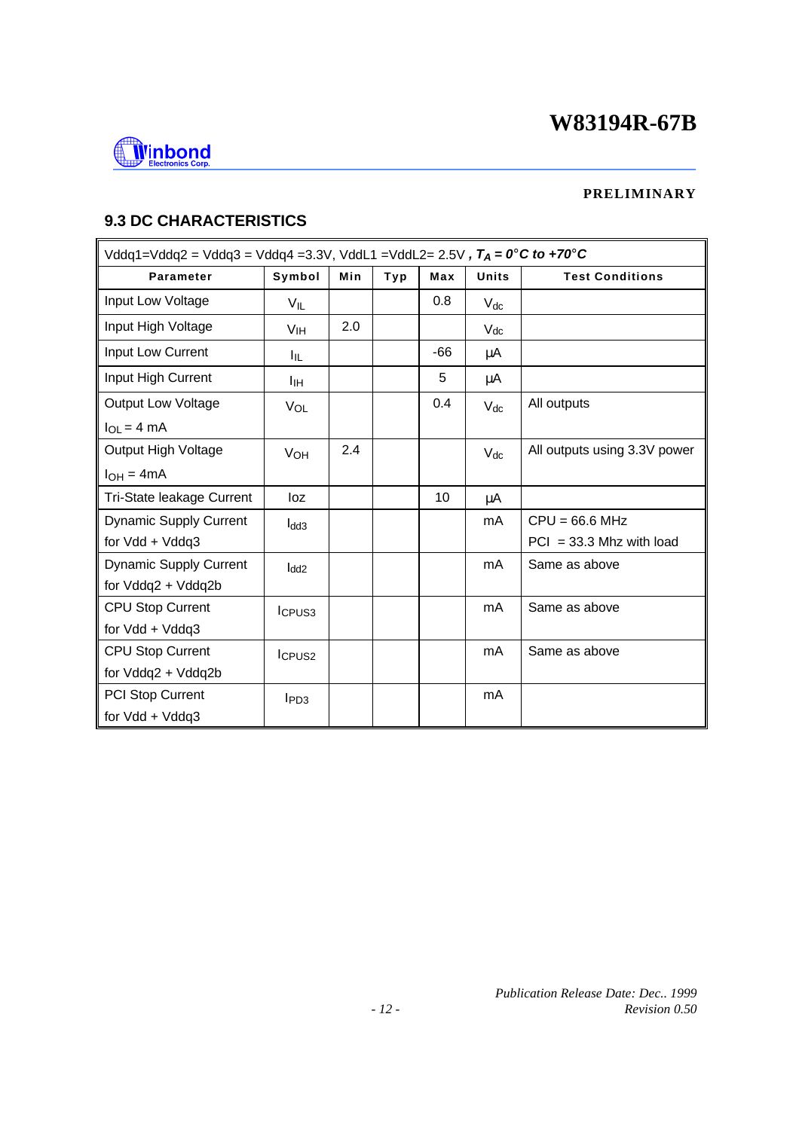

### **PRELIMINARY**

# **9.3 DC CHARACTERISTICS**

| Vddq1=Vddq2 = Vddq3 = Vddq4 =3.3V, VddL1 =VddL2= 2.5V, $T_A = 0^\circ C$ to +70°C |                    |     |     |     |              |                              |  |
|-----------------------------------------------------------------------------------|--------------------|-----|-----|-----|--------------|------------------------------|--|
| <b>Parameter</b>                                                                  | Symbol             | Min | Typ | Max | <b>Units</b> | <b>Test Conditions</b>       |  |
| Input Low Voltage                                                                 | $V_{IL}$           |     |     | 0.8 | $V_{dc}$     |                              |  |
| Input High Voltage                                                                | V <sub>IH</sub>    | 2.0 |     |     | $V_{dc}$     |                              |  |
| Input Low Current                                                                 | 厑                  |     |     | -66 | μA           |                              |  |
| Input High Current                                                                | Iін                |     |     | 5   | μA           |                              |  |
| <b>Output Low Voltage</b>                                                         | VOL                |     |     | 0.4 | $V_{dc}$     | All outputs                  |  |
| $I_{OL} = 4 mA$                                                                   |                    |     |     |     |              |                              |  |
| Output High Voltage                                                               | VOH                | 2.4 |     |     | $V_{dc}$     | All outputs using 3.3V power |  |
| $I_{OH} = 4mA$                                                                    |                    |     |     |     |              |                              |  |
| Tri-State leakage Current                                                         | loz                |     |     | 10  | μA           |                              |  |
| <b>Dynamic Supply Current</b>                                                     | $I_{dd3}$          |     |     |     | mA           | $CPU = 66.6 MHz$             |  |
| for Vdd + Vddq3                                                                   |                    |     |     |     |              | $PCI = 33.3$ Mhz with load   |  |
| <b>Dynamic Supply Current</b>                                                     | l <sub>dd2</sub>   |     |     |     | mA           | Same as above                |  |
| for Vddq2 + Vddq2b                                                                |                    |     |     |     |              |                              |  |
| <b>CPU Stop Current</b>                                                           | ICPUS <sub>3</sub> |     |     |     | mA           | Same as above                |  |
| for Vdd + Vddq3                                                                   |                    |     |     |     |              |                              |  |
| <b>CPU Stop Current</b>                                                           | I <sub>CPUS2</sub> |     |     |     | mA           | Same as above                |  |
| for Vddq2 + Vddq2b                                                                |                    |     |     |     |              |                              |  |
| PCI Stop Current                                                                  | $I_{PD3}$          |     |     |     | mA           |                              |  |
| for Vdd + Vddq3                                                                   |                    |     |     |     |              |                              |  |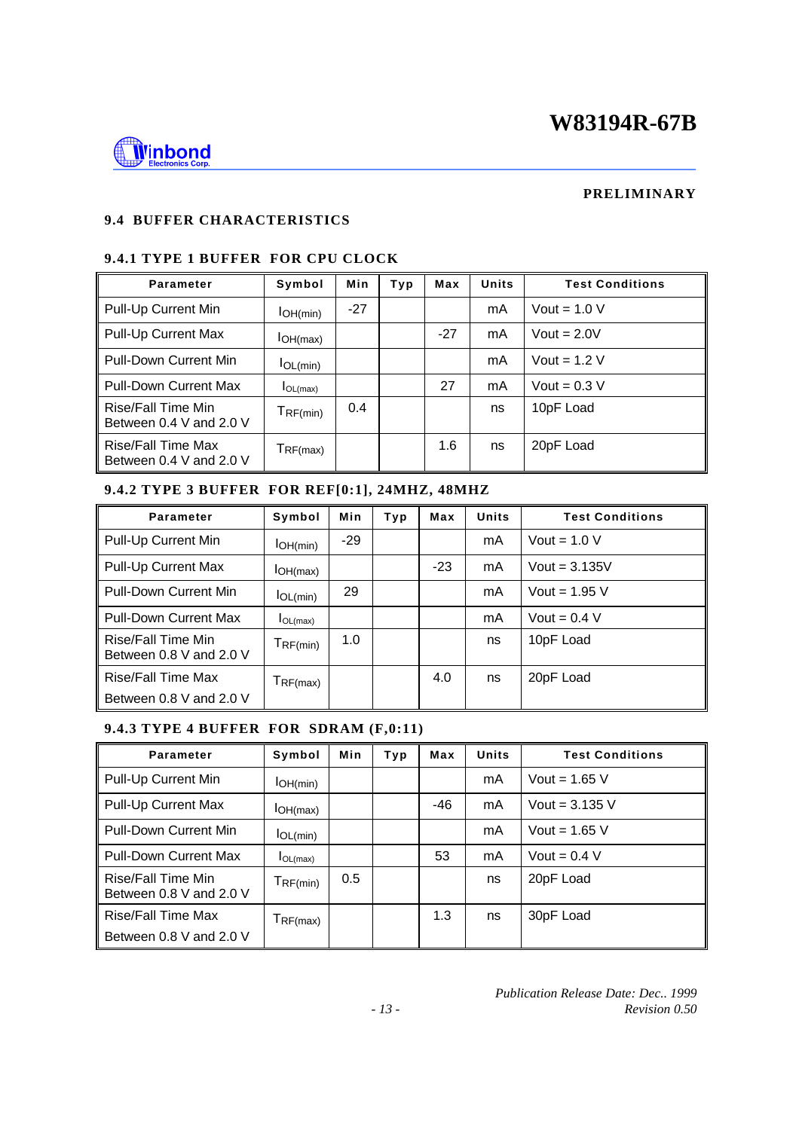

#### **PRELIMINARY**

# **9.4 BUFFER CHARACTERISTICS**

# **9.4.1 TYPE 1 BUFFER FOR CPU CLOCK**

| Parameter                                     | Symbol        | Min   | Typ | Max   | <b>Units</b> | <b>Test Conditions</b> |
|-----------------------------------------------|---------------|-------|-----|-------|--------------|------------------------|
| Pull-Up Current Min                           | IOH(min)      | $-27$ |     |       | mA           | Vout = $1.0 V$         |
| Pull-Up Current Max                           | IOH(max)      |       |     | $-27$ | mA           | Vout = $2.0V$          |
| <b>Pull-Down Current Min</b>                  | IOL(min)      |       |     |       | mA           | Vout = $1.2$ V         |
| <b>Pull-Down Current Max</b>                  | $I_{OL(max)}$ |       |     | 27    | mA           | Vout = $0.3$ V         |
| Rise/Fall Time Min<br>Between 0.4 V and 2.0 V | $T_{RF(min)}$ | 0.4   |     |       | ns           | 10pF Load              |
| Rise/Fall Time Max<br>Between 0.4 V and 2.0 V | $T_{RF(max)}$ |       |     | 1.6   | ns           | 20pF Load              |

### **9.4.2 TYPE 3 BUFFER FOR REF[0:1], 24MHZ, 48MHZ**

| Parameter                                     | Symbol                          | Min   | Typ | Max   | <b>Units</b> | <b>Test Conditions</b> |
|-----------------------------------------------|---------------------------------|-------|-----|-------|--------------|------------------------|
| Pull-Up Current Min                           | IOH(min)                        | $-29$ |     |       | mA           | Vout = $1.0 V$         |
| Pull-Up Current Max                           | IOH(max)                        |       |     | $-23$ | mA           | Vout = $3.135V$        |
| <b>Pull-Down Current Min</b>                  | IOL(min)                        | 29    |     |       | mA           | Vout = $1.95$ V        |
| <b>Pull-Down Current Max</b>                  | $I_{OL(max)}$                   |       |     |       | mA           | Vout = $0.4$ V         |
| Rise/Fall Time Min<br>Between 0.8 V and 2.0 V | $T_{RF(min)}$                   | 1.0   |     |       | ns           | 10pF Load              |
| <b>Rise/Fall Time Max</b>                     | $T_{\mathsf{RF}(\mathsf{max})}$ |       |     | 4.0   | ns           | 20pF Load              |
| Between 0.8 V and 2.0 V                       |                                 |       |     |       |              |                        |

## **9.4.3 TYPE 4 BUFFER FOR SDRAM (F,0:11)**

| Parameter                                     | Symbol        | Min | Typ | Max   | <b>Units</b> | <b>Test Conditions</b> |
|-----------------------------------------------|---------------|-----|-----|-------|--------------|------------------------|
| Pull-Up Current Min                           | IOH(min)      |     |     |       | mA           | Vout = $1.65$ V        |
| Pull-Up Current Max                           | IOH(max)      |     |     | $-46$ | mA           | Vout = $3.135$ V       |
| <b>Pull-Down Current Min</b>                  | IOL(min)      |     |     |       | mA           | Vout = $1.65$ V        |
| <b>Pull-Down Current Max</b>                  | IOL(max)      |     |     | 53    | mA           | Vout = $0.4$ V         |
| Rise/Fall Time Min<br>Between 0.8 V and 2.0 V | TF(min)       | 0.5 |     |       | ns           | 20pF Load              |
| Rise/Fall Time Max                            | $T_{RF(max)}$ |     |     | 1.3   | ns           | 30pF Load              |
| Between 0.8 V and 2.0 V                       |               |     |     |       |              |                        |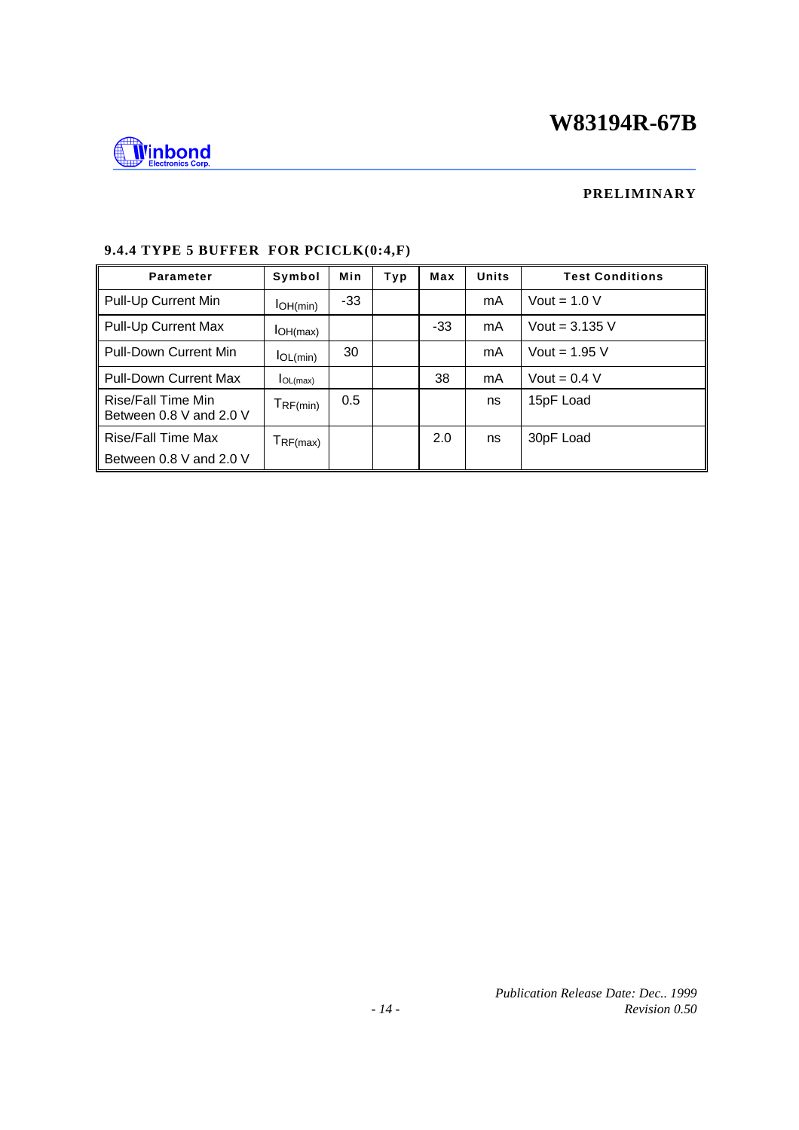

#### **PRELIMINARY**

| Parameter                                     | Symbol            | Min | Тур | Max   | <b>Units</b> | <b>Test Conditions</b> |
|-----------------------------------------------|-------------------|-----|-----|-------|--------------|------------------------|
| Pull-Up Current Min                           | IOH(min)          | -33 |     |       | mA           | Vout = $1.0 V$         |
| Pull-Up Current Max                           | IOH(max)          |     |     | $-33$ | mA           | Vout = $3.135$ V       |
| Pull-Down Current Min                         | IOL(min)          | 30  |     |       | mA           | Vout = $1.95$ V        |
| <b>Pull-Down Current Max</b>                  | IOL(max)          |     |     | 38    | mA           | Vout = $0.4$ V         |
| Rise/Fall Time Min<br>Between 0.8 V and 2.0 V | TF(min)           | 0.5 |     |       | ns           | 15pF Load              |
| <b>Rise/Fall Time Max</b>                     | $T_{\sf RF(max)}$ |     |     | 2.0   | ns           | 30pF Load              |
| Between 0.8 V and 2.0 V                       |                   |     |     |       |              |                        |

## **9.4.4 TYPE 5 BUFFER FOR PCICLK(0:4,F)**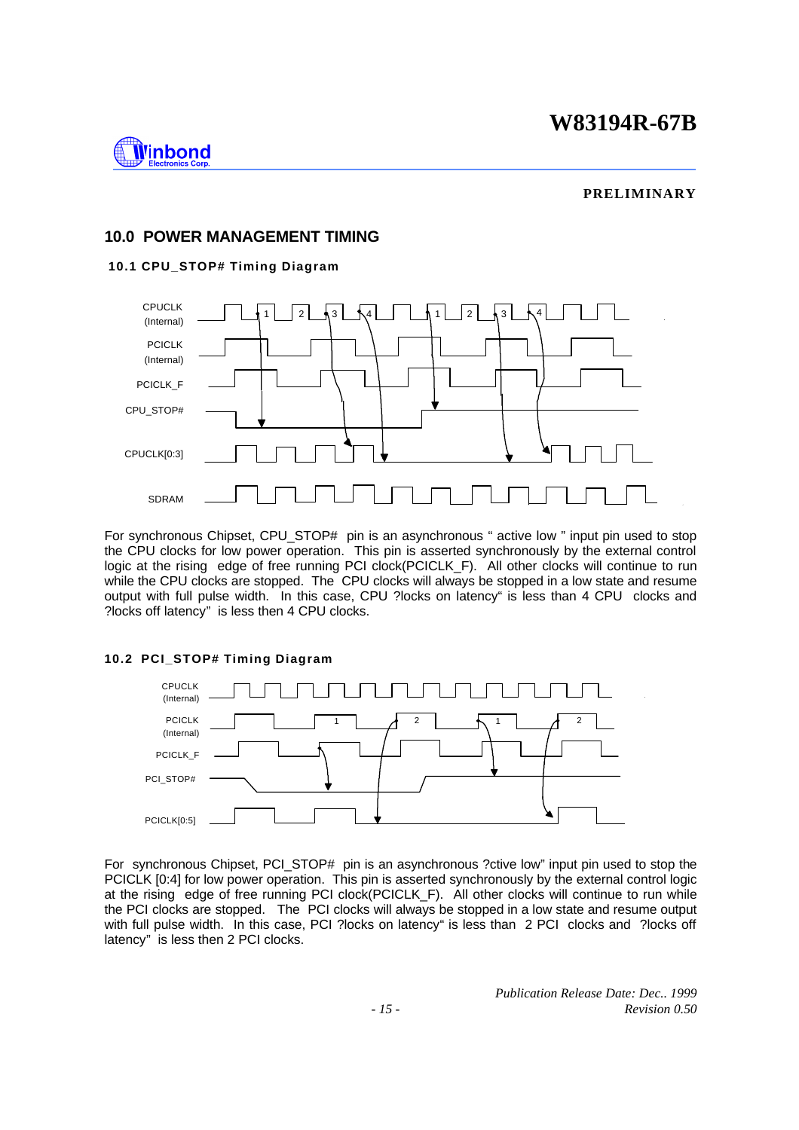

#### **PRELIMINARY**

#### **10.0 POWER MANAGEMENT TIMING**

#### **10.1 CPU\_STOP# Timing Diagram**



For synchronous Chipset, CPU\_STOP# pin is an asynchronous " active low " input pin used to stop the CPU clocks for low power operation. This pin is asserted synchronously by the external control logic at the rising edge of free running PCI clock(PCICLK F). All other clocks will continue to run while the CPU clocks are stopped. The CPU clocks will always be stopped in a low state and resume output with full pulse width. In this case, CPU ?locks on latency" is less than 4 CPU clocks and ?locks off latency" is less then 4 CPU clocks.

#### **10.2 PCI\_STOP# Timing Diagram**



For synchronous Chipset, PCI\_STOP# pin is an asynchronous ?ctive low" input pin used to stop the PCICLK [0:4] for low power operation. This pin is asserted synchronously by the external control logic at the rising edge of free running PCI clock(PCICLK\_F). All other clocks will continue to run while the PCI clocks are stopped. The PCI clocks will always be stopped in a low state and resume output with full pulse width. In this case, PCI ?locks on latency" is less than 2 PCI clocks and ?locks off latency" is less then 2 PCI clocks.

> *Publication Release Date: Dec.. 1999 - 15 - Revision 0.50*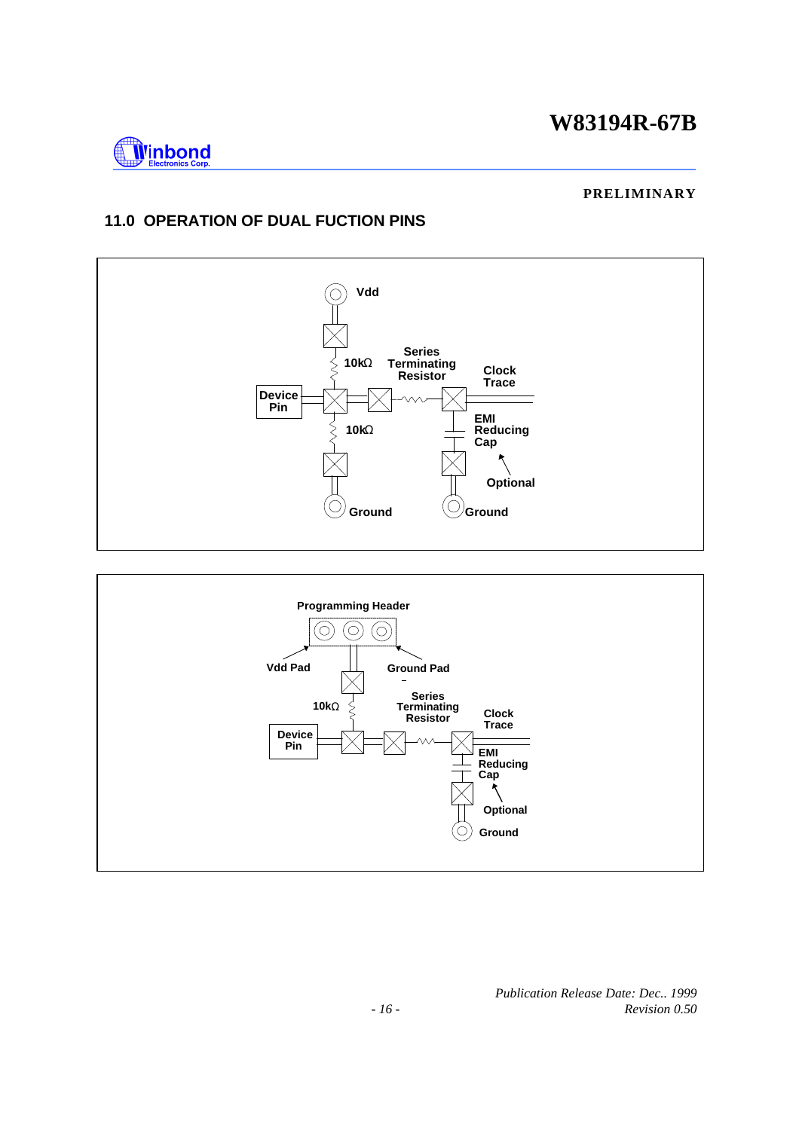

#### **PRELIMINARY**

# **11.0 OPERATION OF DUAL FUCTION PINS**



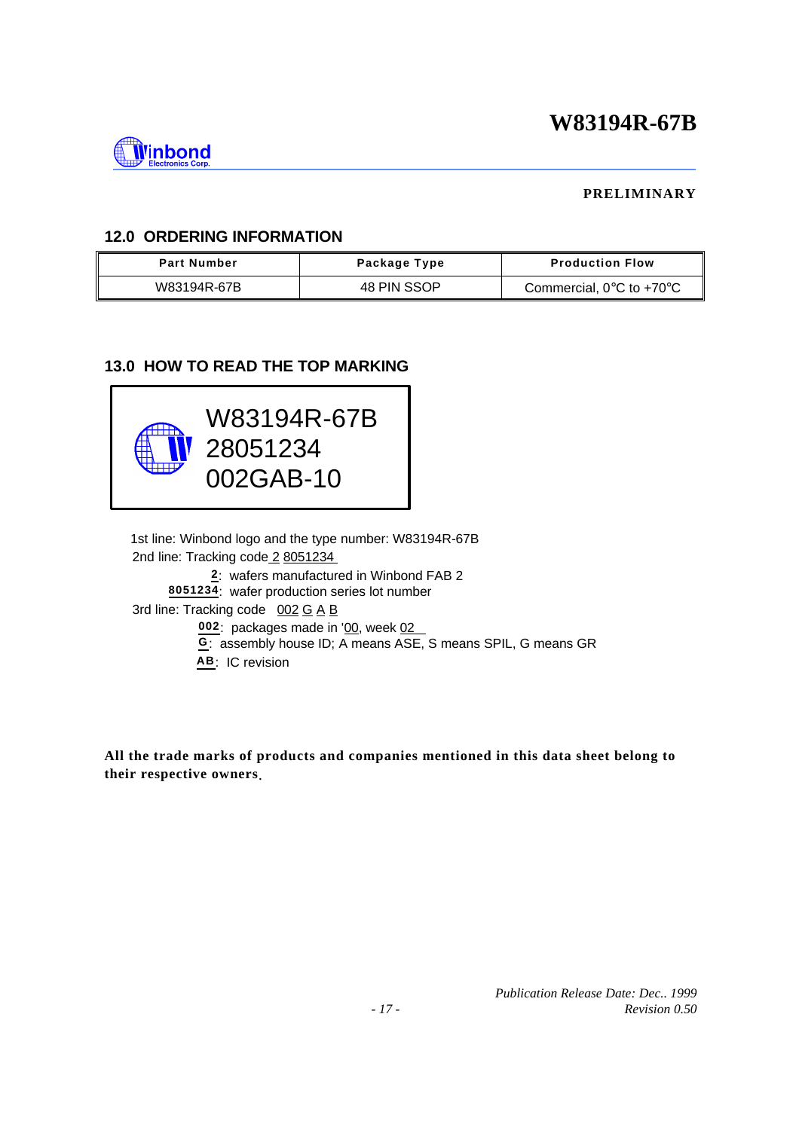

### **PRELIMINARY**

## **12.0 ORDERING INFORMATION**

| <b>Part Number</b> | Package Type | <b>Production Flow</b>                        |
|--------------------|--------------|-----------------------------------------------|
| W83194R-67B        | 48 PIN SSOP  | Commercial, $0^{\circ}$ C to +70 $^{\circ}$ C |

## **13.0 HOW TO READ THE TOP MARKING**



 1st line: Winbond logo and the type number: W83194R-67B 2nd line: Tracking code 2 8051234  **2**: wafers manufactured in Winbond FAB 2 **8051234**: wafer production series lot number 3rd line: Tracking code  $0.02 \text{ G A B}$ 002: packages made in '00, week 02 **G**: assembly house ID; A means ASE, S means SPIL, G means GR **AB**: IC revision

**All the trade marks of products and companies mentioned in this data sheet belong to their respective owners**.